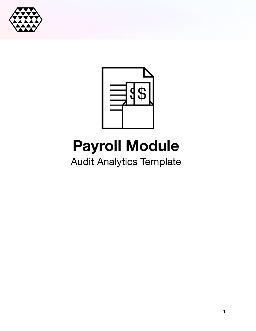



# **Payroll Module**

Audit Analytics Template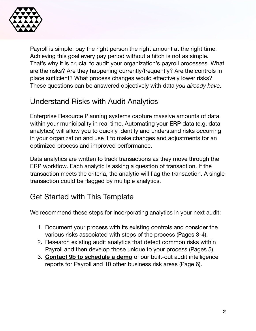

Payroll is simple: pay the right person the right amount at the right time. Achieving this goal every pay period without a hitch is not as simple. That's why it is crucial to audit your organization's payroll processes. What are the risks? Are they happening currently/frequently? Are the controls in place sufficient? What process changes would effectively lower risks? These questions can be answered objectively with data *you already have*.

## Understand Risks with Audit Analytics

Enterprise Resource Planning systems capture massive amounts of data within your municipality in real time. Automating your ERP data (e.g. data analytics) will allow you to quickly identify and understand risks occurring in your organization and use it to make changes and adjustments for an optimized process and improved performance.

Data analytics are written to track transactions as they move through the ERP workflow. Each analytic is asking a question of transaction. If the transaction meets the criteria, the analytic will flag the transaction. A single transaction could be flagged by multiple analytics.

#### Get Started with This Template

We recommend these steps for incorporating analytics in your next audit:

- 1. Document your process with its existing controls and consider the various risks associated with steps of the process (Pages 3-4).
- 2. Research existing audit analytics that detect common risks within Payroll and then develop those unique to your process (Pages 5).
- 3. **Contact 9b to schedule a demo** of our built-out audit intelligence reports for Payroll and 10 other business risk areas (Page 6).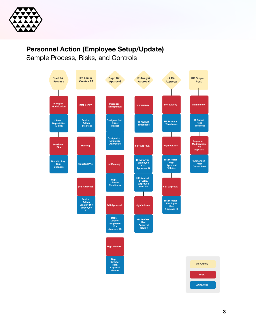

## **Personnel Action (Employee Setup/Update)**

Sample Process, Risks, and Controls

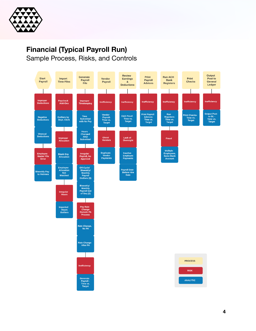

## **Financial (Typical Payroll Run)**

Sample Process, Risks, and Controls

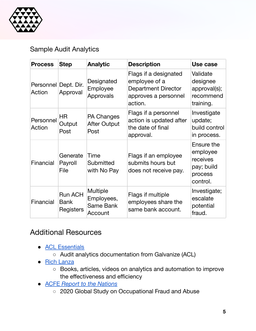

#### Sample Audit Analytics

| <b>Process</b>                 | <b>Step</b>                                | <b>Analytic</b>                                       | <b>Description</b>                                                                                      | Use case                                                                |
|--------------------------------|--------------------------------------------|-------------------------------------------------------|---------------------------------------------------------------------------------------------------------|-------------------------------------------------------------------------|
| Personnel Dept. Dir.<br>Action | Approval                                   | Designated<br>Employee<br>Approvals                   | Flags if a designated<br>employee of a<br><b>Department Director</b><br>approves a personnel<br>action. | Validate<br>designee<br>approval(s);<br>recommend<br>training.          |
| Personnel<br>Action            | <b>HR</b><br>Output<br>Post                | <b>PA Changes</b><br><b>After Output</b><br>Post      | Flags if a personnel<br>action is updated after<br>the date of final<br>approval.                       | Investigate<br>update;<br>build control<br>in process.                  |
| Financial                      | Generate<br>Payroll<br>File                | Time<br>Submitted<br>with No Pay                      | Flags if an employee<br>submits hours but<br>does not receive pay.                                      | Ensure the<br>employee<br>receives<br>pay; build<br>process<br>control. |
| Financial                      | <b>Run ACH</b><br><b>Bank</b><br>Registers | <b>Multiple</b><br>Employees,<br>Same Bank<br>Account | Flags if multiple<br>employees share the<br>same bank account.                                          | Investigate;<br>escalate<br>potential<br>fraud.                         |

#### Additional Resources

- **ACL [Essentials](https://help.highbond.com/helpdocs/essentials/6/user-guide/en-us/Content/global_topics/index.htm)** 
	- Audit analytics documentation from Galvanize (ACL)
- Rich [Lanza](https://richlanza.com/)
	- Books, articles, videos on analytics and automation to improve the effectiveness and efficiency
- ACFE *Report to the [Nations](https://www.acfe.com/report-to-the-nations/2020/)*
	- o 2020 Global Study on Occupational Fraud and Abuse